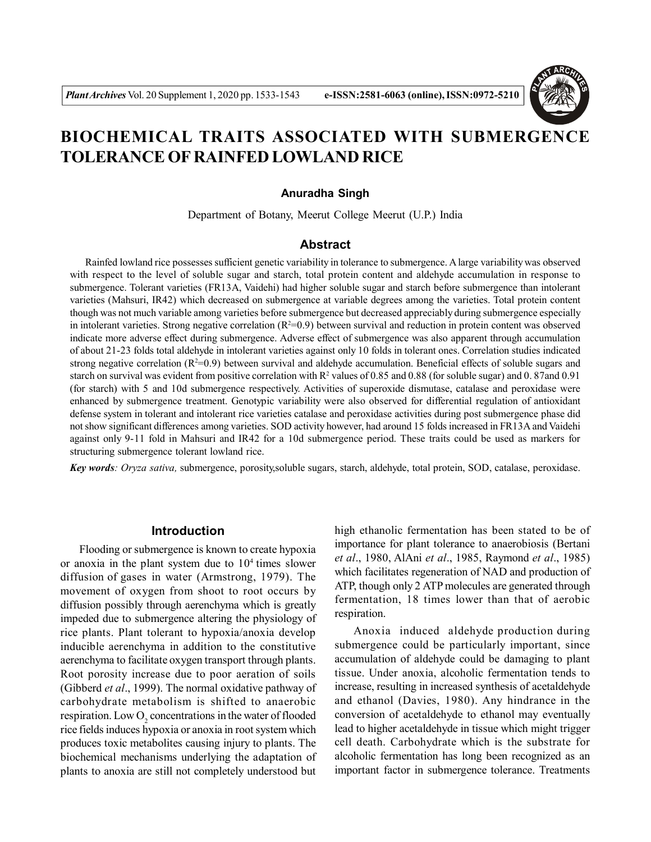

# **BIOCHEMICAL TRAITS ASSOCIATED WITH SUBMERGENCE TOLERANCE OF RAINFED LOWLAND RICE**

#### **Anuradha Singh**

Department of Botany, Meerut College Meerut (U.P.) India

# **Abstract**

 Rainfed lowland rice possesses sufficient genetic variability in tolerance to submergence. A large variability was observed with respect to the level of soluble sugar and starch, total protein content and aldehyde accumulation in response to submergence. Tolerant varieties (FR13A, Vaidehi) had higher soluble sugar and starch before submergence than intolerant varieties (Mahsuri, IR42) which decreased on submergence at variable degrees among the varieties. Total protein content though was not much variable among varieties before submergence but decreased appreciably during submergence especially in intolerant varieties. Strong negative correlation  $(R^2=0.9)$  between survival and reduction in protein content was observed indicate more adverse effect during submergence. Adverse effect of submergence was also apparent through accumulation of about 21-23 folds total aldehyde in intolerant varieties against only 10 folds in tolerant ones. Correlation studies indicated strong negative correlation  $(R^2=0.9)$  between survival and aldehyde accumulation. Beneficial effects of soluble sugars and starch on survival was evident from positive correlation with  $R^2$  values of 0.85 and 0.88 (for soluble sugar) and 0.87 and 0.91 (for starch) with 5 and 10d submergence respectively. Activities of superoxide dismutase, catalase and peroxidase were enhanced by submergence treatment. Genotypic variability were also observed for differential regulation of antioxidant defense system in tolerant and intolerant rice varieties catalase and peroxidase activities during post submergence phase did not show significant differences among varieties. SOD activity however, had around 15 folds increased in FR13A and Vaidehi against only 9-11 fold in Mahsuri and IR42 for a 10d submergence period. These traits could be used as markers for structuring submergence tolerant lowland rice.

*Key words: Oryza sativa,* submergence, porosity,soluble sugars, starch, aldehyde, total protein, SOD, catalase, peroxidase.

#### **Introduction**

Flooding or submergence is known to create hypoxia or anoxia in the plant system due to  $10<sup>4</sup>$  times slower diffusion of gases in water (Armstrong, 1979). The movement of oxygen from shoot to root occurs by diffusion possibly through aerenchyma which is greatly impeded due to submergence altering the physiology of rice plants. Plant tolerant to hypoxia/anoxia develop inducible aerenchyma in addition to the constitutive aerenchyma to facilitate oxygen transport through plants. Root porosity increase due to poor aeration of soils (Gibberd *et al*., 1999). The normal oxidative pathway of carbohydrate metabolism is shifted to anaerobic respiration. Low  $O_2$  concentrations in the water of flooded rice fields induces hypoxia or anoxia in root system which produces toxic metabolites causing injury to plants. The biochemical mechanisms underlying the adaptation of plants to anoxia are still not completely understood but

high ethanolic fermentation has been stated to be of importance for plant tolerance to anaerobiosis (Bertani *et al*., 1980, AlAni *et al*., 1985, Raymond *et al*., 1985) which facilitates regeneration of NAD and production of ATP, though only 2 ATP molecules are generated through fermentation, 18 times lower than that of aerobic respiration.

Anoxia induced aldehyde production during submergence could be particularly important, since accumulation of aldehyde could be damaging to plant tissue. Under anoxia, alcoholic fermentation tends to increase, resulting in increased synthesis of acetaldehyde and ethanol (Davies, 1980). Any hindrance in the conversion of acetaldehyde to ethanol may eventually lead to higher acetaldehyde in tissue which might trigger cell death. Carbohydrate which is the substrate for alcoholic fermentation has long been recognized as an important factor in submergence tolerance. Treatments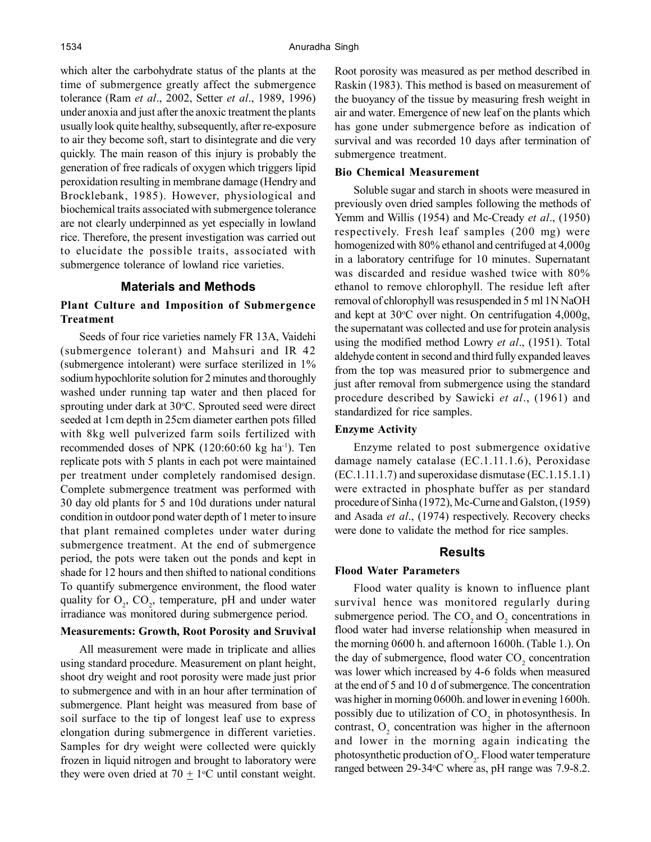which alter the carbohydrate status of the plants at the time of submergence greatly affect the submergence tolerance (Ram *et al*., 2002, Setter *et al*., 1989, 1996) under anoxia and just after the anoxic treatment the plants usually look quite healthy, subsequently, after re-exposure to air they become soft, start to disintegrate and die very quickly. The main reason of this injury is probably the generation of free radicals of oxygen which triggers lipid peroxidation resulting in membrane damage (Hendry and Brocklebank, 1985). However, physiological and biochemical traits associated with submergence tolerance are not clearly underpinned as yet especially in lowland rice. Therefore, the present investigation was carried out to elucidate the possible traits, associated with submergence tolerance of lowland rice varieties.

# **Materials and Methods**

# **Plant Culture and Imposition of Submergence Treatment**

Seeds of four rice varieties namely FR 13A, Vaidehi (submergence tolerant) and Mahsuri and IR 42 (submergence intolerant) were surface sterilized in 1% sodium hypochlorite solution for 2 minutes and thoroughly washed under running tap water and then placed for sprouting under dark at  $30^{\circ}$ C. Sprouted seed were direct seeded at 1cm depth in 25cm diameter earthen pots filled with 8kg well pulverized farm soils fertilized with recommended doses of NPK (120:60:60 kg ha-1). Ten replicate pots with 5 plants in each pot were maintained per treatment under completely randomised design. Complete submergence treatment was performed with 30 day old plants for 5 and 10d durations under natural condition in outdoor pond water depth of 1 meter to insure that plant remained completes under water during submergence treatment. At the end of submergence period, the pots were taken out the ponds and kept in shade for 12 hours and then shifted to national conditions To quantify submergence environment, the flood water quality for  $O_2$ , CO<sub>2</sub>, temperature, pH and under water irradiance was monitored during submergence period.

# **Measurements: Growth, Root Porosity and Sruvival**

All measurement were made in triplicate and allies using standard procedure. Measurement on plant height, shoot dry weight and root porosity were made just prior to submergence and with in an hour after termination of submergence. Plant height was measured from base of soil surface to the tip of longest leaf use to express elongation during submergence in different varieties. Samples for dry weight were collected were quickly frozen in liquid nitrogen and brought to laboratory were they were oven dried at  $70 \pm 1$ <sup>o</sup>C until constant weight.

Root porosity was measured as per method described in Raskin (1983). This method is based on measurement of the buoyancy of the tissue by measuring fresh weight in air and water. Emergence of new leaf on the plants which has gone under submergence before as indication of survival and was recorded 10 days after termination of submergence treatment.

#### **Bio Chemical Measurement**

Soluble sugar and starch in shoots were measured in previously oven dried samples following the methods of Yemm and Willis (1954) and Mc-Cready *et al*., (1950) respectively. Fresh leaf samples (200 mg) were homogenized with 80% ethanol and centrifuged at 4,000g in a laboratory centrifuge for 10 minutes. Supernatant was discarded and residue washed twice with 80% ethanol to remove chlorophyll. The residue left after removal of chlorophyll was resuspended in 5 ml 1N NaOH and kept at  $30^{\circ}$ C over night. On centrifugation 4,000g, the supernatant was collected and use for protein analysis using the modified method Lowry *et al*., (1951). Total aldehyde content in second and third fully expanded leaves from the top was measured prior to submergence and just after removal from submergence using the standard procedure described by Sawicki *et al*., (1961) and standardized for rice samples.

## **Enzyme Activity**

Enzyme related to post submergence oxidative damage namely catalase (EC.1.11.1.6), Peroxidase (EC.1.11.1.7) and superoxidase dismutase (EC.1.15.1.1) were extracted in phosphate buffer as per standard procedure of Sinha (1972), Mc-Curne and Galston, (1959) and Asada *et al*., (1974) respectively. Recovery checks were done to validate the method for rice samples.

#### **Results**

#### **Flood Water Parameters**

Flood water quality is known to influence plant survival hence was monitored regularly during submergence period. The  $CO_2$  and  $O_2$  concentrations in flood water had inverse relationship when measured in the morning 0600 h. and afternoon 1600h. (Table 1.). On the day of submergence, flood water  $CO<sub>2</sub>$  concentration was lower which increased by 4-6 folds when measured at the end of 5 and 10 d of submergence. The concentration was higher in morning 0600h. and lower in evening 1600h. possibly due to utilization of  $CO_2$  in photosynthesis. In contrast,  $O_2$  concentration was higher in the afternoon and lower in the morning again indicating the photosynthetic production of  $O_2$ . Flood water temperature ranged between 29-34 °C where as, pH range was 7.9-8.2.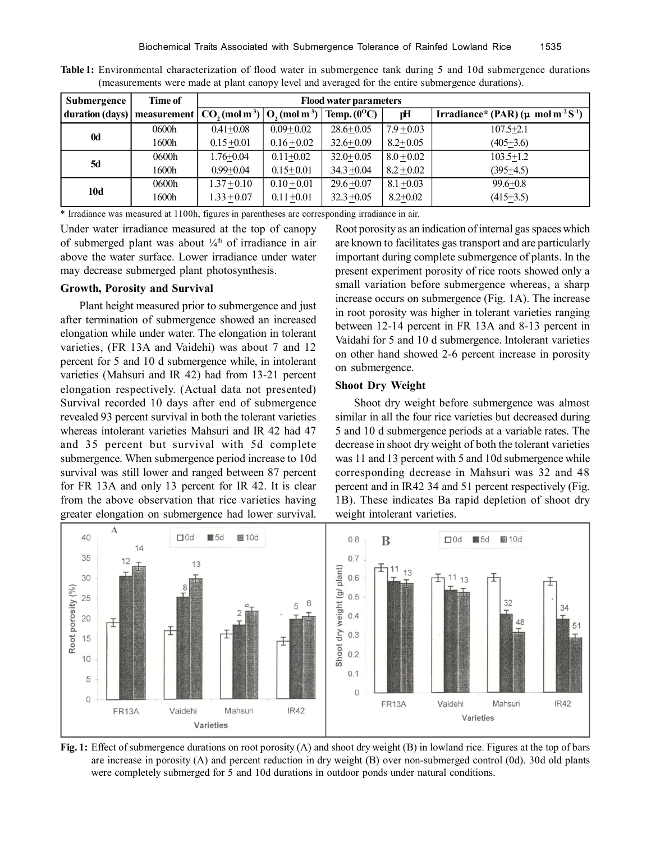| Submergence     | Time of | <b>Flood water parameters</b> |                              |                      |              |                                                                 |  |
|-----------------|---------|-------------------------------|------------------------------|----------------------|--------------|-----------------------------------------------------------------|--|
| duration (days) |         | measurement $ CO, (mol m3) $  | $ O_{2}(mol \text{ m}^{3}) $ | Temp. $(0^{\circ}C)$ | рH           | Irradiance* (PAR) ( $\mu$ mol m <sup>-2</sup> S <sup>-1</sup> ) |  |
| 0d              | 0600h   | $0.41 + 0.08$                 | $0.09 + 0.02$                | $28.6 + 0.05$        | $7.9 + 0.03$ | $107.5 + 2.1$                                                   |  |
|                 | 1600h   | $0.15 + 0.01$                 | $0.16 \pm 0.02$              | $32.6 + 0.09$        | $8.2 + 0.05$ | $(405+3.6)$                                                     |  |
| <b>5d</b>       | 0600h   | $1.76 + 0.04$                 | $0.11 + 0.02$                | $32.0 + 0.05$        | $8.0 + 0.02$ | $103.5 + 1.2$                                                   |  |
|                 | 1600h   | $0.99 + 0.04$                 | $0.15 + 0.01$                | $34.3 + 0.04$        | $8.2 + 0.02$ | $(395+4.5)$                                                     |  |
| 10d             | 0600h   | $1.37 + 0.10$                 | $0.10 + 0.01$                | $29.6 + 0.07$        | $8.1 + 0.03$ | $99.6 + 0.8$                                                    |  |
|                 | 1600h   | $1.33 + 0.07$                 | $0.11 + 0.01$                | $32.3 + 0.05$        | $8.2 + 0.02$ | $(415+3.5)$                                                     |  |

**Table 1:** Environmental characterization of flood water in submergence tank during 5 and 10d submergence durations (measurements were made at plant canopy level and averaged for the entire submergence durations).

\* Irradiance was measured at 1100h, figures in parentheses are corresponding irradiance in air.

Under water irradiance measured at the top of canopy of submerged plant was about  $\frac{1}{4}$ <sup>th</sup> of irradiance in air above the water surface. Lower irradiance under water may decrease submerged plant photosynthesis.

## **Growth, Porosity and Survival**

Plant height measured prior to submergence and just after termination of submergence showed an increased elongation while under water. The elongation in tolerant varieties, (FR 13A and Vaidehi) was about 7 and 12 percent for 5 and 10 d submergence while, in intolerant varieties (Mahsuri and IR 42) had from 13-21 percent elongation respectively. (Actual data not presented) Survival recorded 10 days after end of submergence revealed 93 percent survival in both the tolerant varieties whereas intolerant varieties Mahsuri and IR 42 had 47 and 35 percent but survival with 5d complete submergence. When submergence period increase to 10d survival was still lower and ranged between 87 percent for FR 13A and only 13 percent for IR 42. It is clear from the above observation that rice varieties having greater elongation on submergence had lower survival.

Root porosity as an indication of internal gas spaces which are known to facilitates gas transport and are particularly important during complete submergence of plants. In the present experiment porosity of rice roots showed only a small variation before submergence whereas, a sharp increase occurs on submergence (Fig. 1A). The increase in root porosity was higher in tolerant varieties ranging between 12-14 percent in FR 13A and 8-13 percent in Vaidahi for 5 and 10 d submergence. Intolerant varieties on other hand showed 2-6 percent increase in porosity on submergence.

# **Shoot Dry Weight**

Shoot dry weight before submergence was almost similar in all the four rice varieties but decreased during 5 and 10 d submergence periods at a variable rates. The decrease in shoot dry weight of both the tolerant varieties was 11 and 13 percent with 5 and 10d submergence while corresponding decrease in Mahsuri was 32 and 48 percent and in IR42 34 and 51 percent respectively (Fig. 1B). These indicates Ba rapid depletion of shoot dry weight intolerant varieties.



**Fig. 1:** Effect of submergence durations on root porosity (A) and shoot dry weight (B) in lowland rice. Figures at the top of bars are increase in porosity (A) and percent reduction in dry weight (B) over non-submerged control (0d). 30d old plants were completely submerged for 5 and 10d durations in outdoor ponds under natural conditions.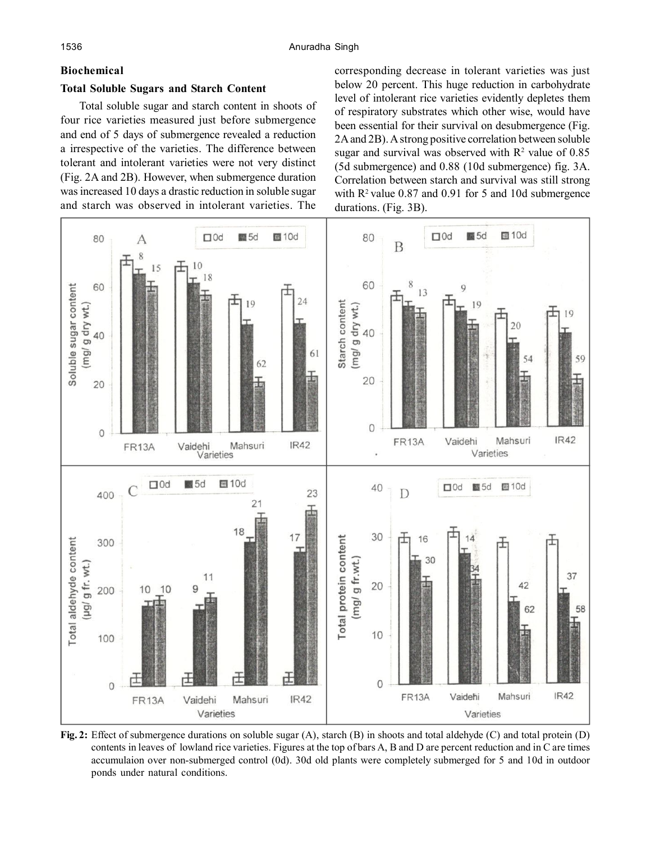# **Biochemical**

# **Total Soluble Sugars and Starch Content**

Total soluble sugar and starch content in shoots of four rice varieties measured just before submergence and end of 5 days of submergence revealed a reduction a irrespective of the varieties. The difference between tolerant and intolerant varieties were not very distinct (Fig. 2A and 2B). However, when submergence duration was increased 10 days a drastic reduction in soluble sugar and starch was observed in intolerant varieties. The

corresponding decrease in tolerant varieties was just below 20 percent. This huge reduction in carbohydrate level of intolerant rice varieties evidently depletes them of respiratory substrates which other wise, would have been essential for their survival on desubmergence (Fig. 2A and 2B). A strong positive correlation between soluble sugar and survival was observed with  $\mathbb{R}^2$  value of 0.85 (5d submergence) and 0.88 (10d submergence) fig. 3A. Correlation between starch and survival was still strong with  $R^2$  value 0.87 and 0.91 for 5 and 10d submergence durations. (Fig. 3B).



**Fig. 2:** Effect of submergence durations on soluble sugar (A), starch (B) in shoots and total aldehyde (C) and total protein (D) contents in leaves of lowland rice varieties. Figures at the top of bars A, B and D are percent reduction and in C are times accumulaion over non-submerged control (0d). 30d old plants were completely submerged for 5 and 10d in outdoor ponds under natural conditions.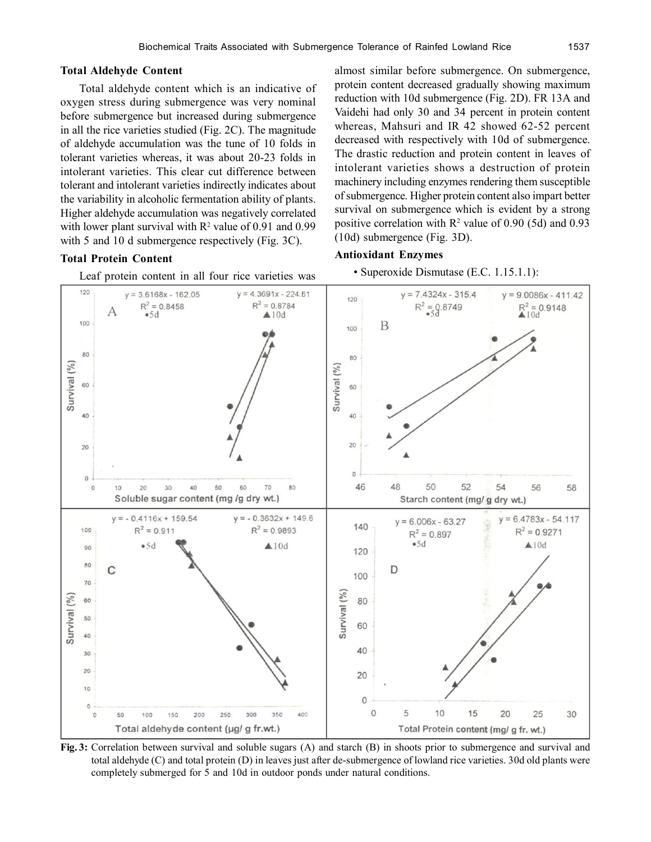#### **Total Aldehyde Content**

Total aldehyde content which is an indicative of oxygen stress during submergence was very nominal before submergence but increased during submergence in all the rice varieties studied (Fig. 2C). The magnitude of aldehyde accumulation was the tune of 10 folds in tolerant varieties whereas, it was about 20-23 folds in intolerant varieties. This clear cut difference between tolerant and intolerant varieties indirectly indicates about the variability in alcoholic fermentation ability of plants. Higher aldehyde accumulation was negatively correlated with lower plant survival with  $R^2$  value of 0.91 and 0.99 with 5 and 10 d submergence respectively (Fig. 3C).

#### **Total Protein Content**

Leaf protein content in all four rice varieties was

almost similar before submergence. On submergence, protein content decreased gradually showing maximum reduction with 10d submergence (Fig. 2D). FR 13A and Vaidehi had only 30 and 34 percent in protein content whereas, Mahsuri and IR 42 showed 62-52 percent decreased with respectively with 10d of submergence. The drastic reduction and protein content in leaves of intolerant varieties shows a destruction of protein machinery including enzymes rendering them susceptible of submergence. Higher protein content also impart better survival on submergence which is evident by a strong positive correlation with  $R^2$  value of 0.90 (5d) and 0.93 (10d) submergence (Fig. 3D).

#### **Antioxidant Enzymes**

• Superoxide Dismutase (E.C. 1.15.1.1):



**Fig. 3:** Correlation between survival and soluble sugars (A) and starch (B) in shoots prior to submergence and survival and total aldehyde (C) and total protein (D) in leaves just after de-submergence of lowland rice varieties. 30d old plants were completely submerged for 5 and 10d in outdoor ponds under natural conditions.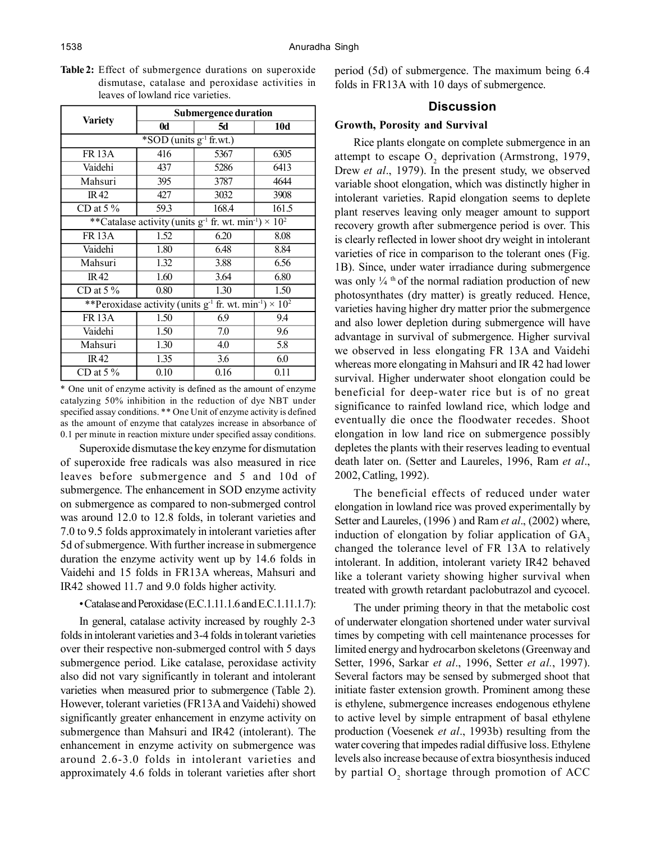|                                                                                     | <b>Submergence duration</b> |           |            |  |  |  |  |  |
|-------------------------------------------------------------------------------------|-----------------------------|-----------|------------|--|--|--|--|--|
| <b>Variety</b>                                                                      | $\mathbf{0}$ d              | <b>5d</b> | <b>10d</b> |  |  |  |  |  |
| $*$ SOD (units $g^{-1}$ fr.wt.)                                                     |                             |           |            |  |  |  |  |  |
| <b>FR13A</b>                                                                        | 416                         | 5367      | 6305       |  |  |  |  |  |
| Vaidehi                                                                             | 437                         | 5286      | 6413       |  |  |  |  |  |
| Mahsuri                                                                             | 395                         | 3787      | 4644       |  |  |  |  |  |
| IR42                                                                                | 427<br>3032                 |           | 3908       |  |  |  |  |  |
| CD at $5\%$                                                                         | 59.3                        | 168.4     | 161.5      |  |  |  |  |  |
| **Catalase activity (units $g^{-1}$ fr. wt. min <sup>-1</sup> ) × 10 <sup>2</sup>   |                             |           |            |  |  |  |  |  |
| <b>FR13A</b>                                                                        | 1.52                        | 6.20      | 8.08       |  |  |  |  |  |
| Vaidehi                                                                             | 1.80                        | 6.48      | 8.84       |  |  |  |  |  |
| Mahsuri                                                                             | 1.32                        | 3.88      | 6.56       |  |  |  |  |  |
| <b>IR42</b>                                                                         | 1.60                        | 3.64      | 6.80       |  |  |  |  |  |
| CD at $5\%$                                                                         | 0.80                        | 1.30      | 1.50       |  |  |  |  |  |
| **Peroxidase activity (units $g^{-1}$ fr. wt. min <sup>-1</sup> ) × 10 <sup>2</sup> |                             |           |            |  |  |  |  |  |
| <b>FR13A</b>                                                                        | 1.50                        | 6.9       | 9.4        |  |  |  |  |  |
| Vaidehi                                                                             | 1.50                        | 7.0       | 9.6        |  |  |  |  |  |
| Mahsuri                                                                             | 1.30                        | 4.0       | 5.8        |  |  |  |  |  |
| IR <sub>42</sub>                                                                    | 1.35                        | 3.6       | 6.0        |  |  |  |  |  |
| CD at $5\%$                                                                         | 0.10                        | 0.16      | 0.11       |  |  |  |  |  |

**Table 2:** Effect of submergence durations on superoxide dismutase, catalase and peroxidase activities in leaves of lowland rice varieties.

\* One unit of enzyme activity is defined as the amount of enzyme catalyzing 50% inhibition in the reduction of dye NBT under specified assay conditions. \*\* One Unit of enzyme activity is defined as the amount of enzyme that catalyzes increase in absorbance of 0.1 per minute in reaction mixture under specified assay conditions.

Superoxide dismutase the key enzyme for dismutation of superoxide free radicals was also measured in rice leaves before submergence and 5 and 10d of submergence. The enhancement in SOD enzyme activity on submergence as compared to non-submerged control was around 12.0 to 12.8 folds, in tolerant varieties and 7.0 to 9.5 folds approximately in intolerant varieties after 5d of submergence. With further increase in submergence duration the enzyme activity went up by 14.6 folds in Vaidehi and 15 folds in FR13A whereas, Mahsuri and IR42 showed 11.7 and 9.0 folds higher activity.

## • Catalase and Peroxidase (E.C.1.11.1.6 and E.C.1.11.1.7):

In general, catalase activity increased by roughly 2-3 folds in intolerant varieties and 3-4 folds in tolerant varieties over their respective non-submerged control with 5 days submergence period. Like catalase, peroxidase activity also did not vary significantly in tolerant and intolerant varieties when measured prior to submergence (Table 2). However, tolerant varieties (FR13A and Vaidehi) showed significantly greater enhancement in enzyme activity on submergence than Mahsuri and IR42 (intolerant). The enhancement in enzyme activity on submergence was around 2.6-3.0 folds in intolerant varieties and approximately 4.6 folds in tolerant varieties after short period (5d) of submergence. The maximum being 6.4 folds in FR13A with 10 days of submergence.

## **Discussion**

# **Growth, Porosity and Survival**

Rice plants elongate on complete submergence in an attempt to escape  $O_2$  deprivation (Armstrong, 1979, Drew *et al*., 1979). In the present study, we observed variable shoot elongation, which was distinctly higher in intolerant varieties. Rapid elongation seems to deplete plant reserves leaving only meager amount to support recovery growth after submergence period is over. This is clearly reflected in lower shoot dry weight in intolerant varieties of rice in comparison to the tolerant ones (Fig. 1B). Since, under water irradiance during submergence was only  $\frac{1}{4}$  <sup>th</sup> of the normal radiation production of new photosynthates (dry matter) is greatly reduced. Hence, varieties having higher dry matter prior the submergence and also lower depletion during submergence will have advantage in survival of submergence. Higher survival we observed in less elongating FR 13A and Vaidehi whereas more elongating in Mahsuri and IR 42 had lower survival. Higher underwater shoot elongation could be beneficial for deep-water rice but is of no great significance to rainfed lowland rice, which lodge and eventually die once the floodwater recedes. Shoot elongation in low land rice on submergence possibly depletes the plants with their reserves leading to eventual death later on. (Setter and Laureles, 1996, Ram *et al*., 2002, Catling, 1992).

The beneficial effects of reduced under water elongation in lowland rice was proved experimentally by Setter and Laureles, (1996 ) and Ram *et al*., (2002) where, induction of elongation by foliar application of  $GA$ , changed the tolerance level of FR 13A to relatively intolerant. In addition, intolerant variety IR42 behaved like a tolerant variety showing higher survival when treated with growth retardant paclobutrazol and cycocel.

The under priming theory in that the metabolic cost of underwater elongation shortened under water survival times by competing with cell maintenance processes for limited energy and hydrocarbon skeletons (Greenway and Setter, 1996, Sarkar *et al*., 1996, Setter *et al.*, 1997). Several factors may be sensed by submerged shoot that initiate faster extension growth. Prominent among these is ethylene, submergence increases endogenous ethylene to active level by simple entrapment of basal ethylene production (Voesenek *et al*., 1993b) resulting from the water covering that impedes radial diffusive loss. Ethylene levels also increase because of extra biosynthesis induced by partial  $O_2$  shortage through promotion of ACC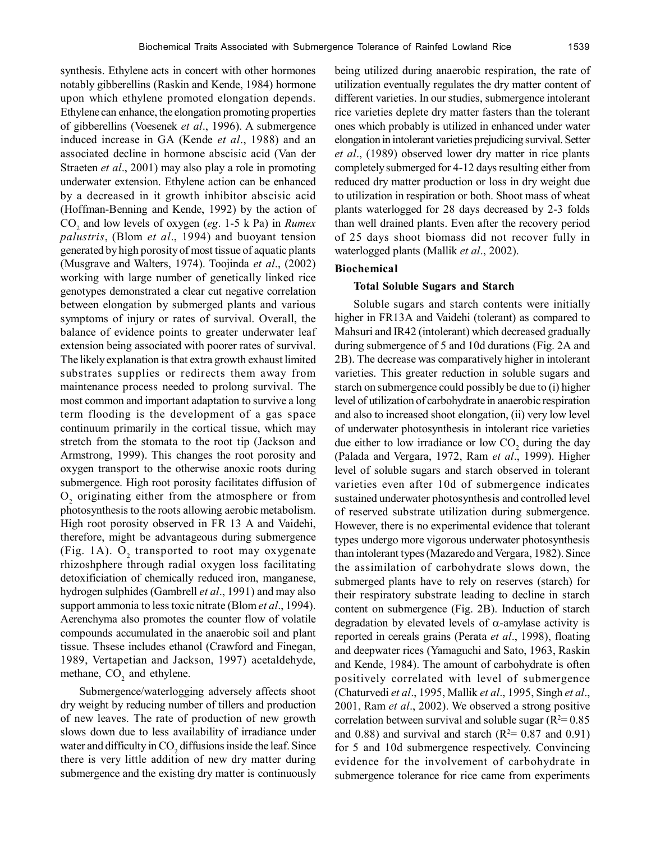synthesis. Ethylene acts in concert with other hormones notably gibberellins (Raskin and Kende, 1984) hormone upon which ethylene promoted elongation depends. Ethylene can enhance, the elongation promoting properties of gibberellins (Voesenek *et al*., 1996). A submergence induced increase in GA (Kende *et al*., 1988) and an associated decline in hormone abscisic acid (Van der Straeten *et al*., 2001) may also play a role in promoting underwater extension. Ethylene action can be enhanced by a decreased in it growth inhibitor abscisic acid (Hoffman-Benning and Kende, 1992) by the action of CO<sup>2</sup> and low levels of oxygen (*eg*. 1-5 k Pa) in *Rumex palustris*, (Blom *et al*., 1994) and buoyant tension generated by high porosity of most tissue of aquatic plants (Musgrave and Walters, 1974). Toojinda *et al*., (2002) working with large number of genetically linked rice genotypes demonstrated a clear cut negative correlation between elongation by submerged plants and various symptoms of injury or rates of survival. Overall, the balance of evidence points to greater underwater leaf extension being associated with poorer rates of survival. The likely explanation is that extra growth exhaust limited substrates supplies or redirects them away from maintenance process needed to prolong survival. The most common and important adaptation to survive a long term flooding is the development of a gas space continuum primarily in the cortical tissue, which may stretch from the stomata to the root tip (Jackson and Armstrong, 1999). This changes the root porosity and oxygen transport to the otherwise anoxic roots during submergence. High root porosity facilitates diffusion of  $O_2$  originating either from the atmosphere or from photosynthesis to the roots allowing aerobic metabolism. High root porosity observed in FR 13 A and Vaidehi, therefore, might be advantageous during submergence (Fig. 1A).  $O_2$  transported to root may oxygenate rhizoshphere through radial oxygen loss facilitating detoxificiation of chemically reduced iron, manganese, hydrogen sulphides (Gambrell *et al*., 1991) and may also support ammonia to less toxic nitrate (Blom *et al*., 1994). Aerenchyma also promotes the counter flow of volatile compounds accumulated in the anaerobic soil and plant tissue. Thsese includes ethanol (Crawford and Finegan, 1989, Vertapetian and Jackson, 1997) acetaldehyde, methane,  $CO<sub>2</sub>$  and ethylene.

Submergence/waterlogging adversely affects shoot dry weight by reducing number of tillers and production of new leaves. The rate of production of new growth slows down due to less availability of irradiance under water and difficulty in  $CO<sub>2</sub>$  diffusions inside the leaf. Since there is very little addition of new dry matter during submergence and the existing dry matter is continuously being utilized during anaerobic respiration, the rate of utilization eventually regulates the dry matter content of different varieties. In our studies, submergence intolerant rice varieties deplete dry matter fasters than the tolerant ones which probably is utilized in enhanced under water elongation in intolerant varieties prejudicing survival. Setter *et al*., (1989) observed lower dry matter in rice plants completely submerged for 4-12 days resulting either from reduced dry matter production or loss in dry weight due to utilization in respiration or both. Shoot mass of wheat plants waterlogged for 28 days decreased by 2-3 folds than well drained plants. Even after the recovery period of 25 days shoot biomass did not recover fully in waterlogged plants (Mallik *et al*., 2002).

#### **Biochemical**

## **Total Soluble Sugars and Starch**

Soluble sugars and starch contents were initially higher in FR13A and Vaidehi (tolerant) as compared to Mahsuri and IR42 (intolerant) which decreased gradually during submergence of 5 and 10d durations (Fig. 2A and 2B). The decrease was comparatively higher in intolerant varieties. This greater reduction in soluble sugars and starch on submergence could possibly be due to (i) higher level of utilization of carbohydrate in anaerobic respiration and also to increased shoot elongation, (ii) very low level of underwater photosynthesis in intolerant rice varieties due either to low irradiance or low  $CO<sub>2</sub>$  during the day (Palada and Vergara, 1972, Ram *et al*., 1999). Higher level of soluble sugars and starch observed in tolerant varieties even after 10d of submergence indicates sustained underwater photosynthesis and controlled level of reserved substrate utilization during submergence. However, there is no experimental evidence that tolerant types undergo more vigorous underwater photosynthesis than intolerant types (Mazaredo and Vergara, 1982). Since the assimilation of carbohydrate slows down, the submerged plants have to rely on reserves (starch) for their respiratory substrate leading to decline in starch content on submergence (Fig. 2B). Induction of starch degradation by elevated levels of  $\alpha$ -amylase activity is reported in cereals grains (Perata *et al*., 1998), floating and deepwater rices (Yamaguchi and Sato, 1963, Raskin and Kende, 1984). The amount of carbohydrate is often positively correlated with level of submergence (Chaturvedi *et al*., 1995, Mallik *et al*., 1995, Singh *et al*., 2001, Ram *et al*., 2002). We observed a strong positive correlation between survival and soluble sugar ( $R^2$ = 0.85 and 0.88) and survival and starch ( $R<sup>2</sup>= 0.87$  and 0.91) for 5 and 10d submergence respectively. Convincing evidence for the involvement of carbohydrate in submergence tolerance for rice came from experiments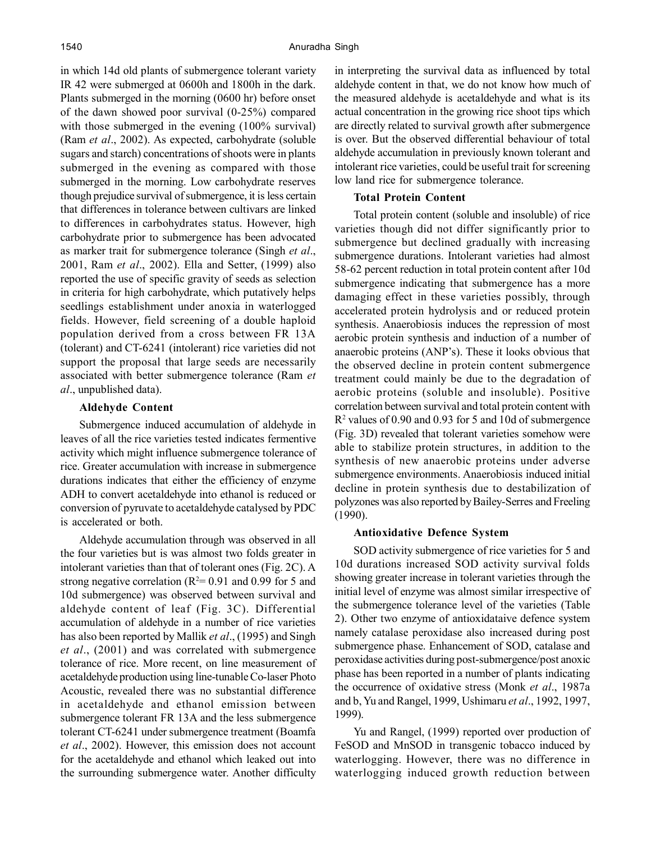in which 14d old plants of submergence tolerant variety IR 42 were submerged at 0600h and 1800h in the dark. Plants submerged in the morning (0600 hr) before onset of the dawn showed poor survival (0-25%) compared with those submerged in the evening (100% survival) (Ram *et al*., 2002). As expected, carbohydrate (soluble sugars and starch) concentrations of shoots were in plants submerged in the evening as compared with those submerged in the morning. Low carbohydrate reserves though prejudice survival of submergence, it is less certain that differences in tolerance between cultivars are linked to differences in carbohydrates status. However, high carbohydrate prior to submergence has been advocated as marker trait for submergence tolerance (Singh *et al*., 2001, Ram *et al*., 2002). Ella and Setter, (1999) also reported the use of specific gravity of seeds as selection in criteria for high carbohydrate, which putatively helps seedlings establishment under anoxia in waterlogged fields. However, field screening of a double haploid population derived from a cross between FR 13A (tolerant) and CT-6241 (intolerant) rice varieties did not support the proposal that large seeds are necessarily associated with better submergence tolerance (Ram *et al*., unpublished data).

#### **Aldehyde Content**

Submergence induced accumulation of aldehyde in leaves of all the rice varieties tested indicates fermentive activity which might influence submergence tolerance of rice. Greater accumulation with increase in submergence durations indicates that either the efficiency of enzyme ADH to convert acetaldehyde into ethanol is reduced or conversion of pyruvate to acetaldehyde catalysed by PDC is accelerated or both.

Aldehyde accumulation through was observed in all the four varieties but is was almost two folds greater in intolerant varieties than that of tolerant ones (Fig. 2C). A strong negative correlation ( $R^2$ = 0.91 and 0.99 for 5 and 10d submergence) was observed between survival and aldehyde content of leaf (Fig. 3C). Differential accumulation of aldehyde in a number of rice varieties has also been reported by Mallik *et al*., (1995) and Singh *et al*., (2001) and was correlated with submergence tolerance of rice. More recent, on line measurement of acetaldehyde production using line-tunable Co-laser Photo Acoustic, revealed there was no substantial difference in acetaldehyde and ethanol emission between submergence tolerant FR 13A and the less submergence tolerant CT-6241 under submergence treatment (Boamfa *et al*., 2002). However, this emission does not account for the acetaldehyde and ethanol which leaked out into the surrounding submergence water. Another difficulty

in interpreting the survival data as influenced by total aldehyde content in that, we do not know how much of the measured aldehyde is acetaldehyde and what is its actual concentration in the growing rice shoot tips which are directly related to survival growth after submergence is over. But the observed differential behaviour of total aldehyde accumulation in previously known tolerant and intolerant rice varieties, could be useful trait for screening low land rice for submergence tolerance.

#### **Total Protein Content**

Total protein content (soluble and insoluble) of rice varieties though did not differ significantly prior to submergence but declined gradually with increasing submergence durations. Intolerant varieties had almost 58-62 percent reduction in total protein content after 10d submergence indicating that submergence has a more damaging effect in these varieties possibly, through accelerated protein hydrolysis and or reduced protein synthesis. Anaerobiosis induces the repression of most aerobic protein synthesis and induction of a number of anaerobic proteins (ANP's). These it looks obvious that the observed decline in protein content submergence treatment could mainly be due to the degradation of aerobic proteins (soluble and insoluble). Positive correlation between survival and total protein content with R2 values of 0.90 and 0.93 for 5 and 10d of submergence (Fig. 3D) revealed that tolerant varieties somehow were able to stabilize protein structures, in addition to the synthesis of new anaerobic proteins under adverse submergence environments. Anaerobiosis induced initial decline in protein synthesis due to destabilization of polyzones was also reported by Bailey-Serres and Freeling (1990).

#### **Antioxidative Defence System**

SOD activity submergence of rice varieties for 5 and 10d durations increased SOD activity survival folds showing greater increase in tolerant varieties through the initial level of enzyme was almost similar irrespective of the submergence tolerance level of the varieties (Table 2). Other two enzyme of antioxidataive defence system namely catalase peroxidase also increased during post submergence phase. Enhancement of SOD, catalase and peroxidase activities during post-submergence/post anoxic phase has been reported in a number of plants indicating the occurrence of oxidative stress (Monk *et al*., 1987a and b, Yu and Rangel, 1999, Ushimaru *et al*., 1992, 1997, 1999).

Yu and Rangel, (1999) reported over production of FeSOD and MnSOD in transgenic tobacco induced by waterlogging. However, there was no difference in waterlogging induced growth reduction between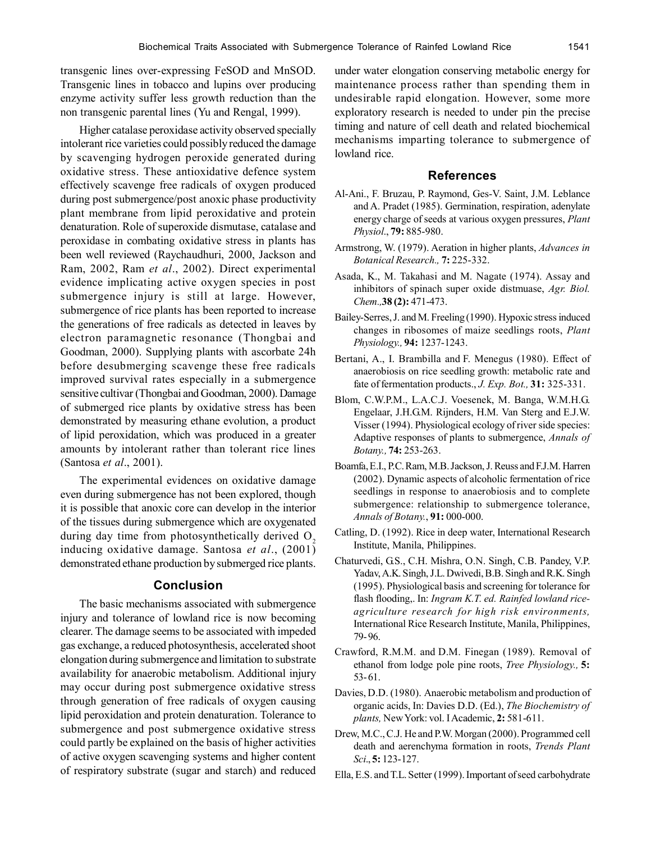transgenic lines over-expressing FeSOD and MnSOD. Transgenic lines in tobacco and lupins over producing enzyme activity suffer less growth reduction than the non transgenic parental lines (Yu and Rengal, 1999).

Higher catalase peroxidase activity observed specially intolerant rice varieties could possibly reduced the damage by scavenging hydrogen peroxide generated during oxidative stress. These antioxidative defence system effectively scavenge free radicals of oxygen produced during post submergence/post anoxic phase productivity plant membrane from lipid peroxidative and protein denaturation. Role of superoxide dismutase, catalase and peroxidase in combating oxidative stress in plants has been well reviewed (Raychaudhuri, 2000, Jackson and Ram, 2002, Ram *et al*., 2002). Direct experimental evidence implicating active oxygen species in post submergence injury is still at large. However, submergence of rice plants has been reported to increase the generations of free radicals as detected in leaves by electron paramagnetic resonance (Thongbai and Goodman, 2000). Supplying plants with ascorbate 24h before desubmerging scavenge these free radicals improved survival rates especially in a submergence sensitive cultivar (Thongbai and Goodman, 2000). Damage of submerged rice plants by oxidative stress has been demonstrated by measuring ethane evolution, a product of lipid peroxidation, which was produced in a greater amounts by intolerant rather than tolerant rice lines (Santosa *et al*., 2001).

The experimental evidences on oxidative damage even during submergence has not been explored, though it is possible that anoxic core can develop in the interior of the tissues during submergence which are oxygenated during day time from photosynthetically derived  $O<sub>2</sub>$ inducing oxidative damage. Santosa *et al*., (2001) demonstrated ethane production by submerged rice plants.

#### **Conclusion**

The basic mechanisms associated with submergence injury and tolerance of lowland rice is now becoming clearer. The damage seems to be associated with impeded gas exchange, a reduced photosynthesis, accelerated shoot elongation during submergence and limitation to substrate availability for anaerobic metabolism. Additional injury may occur during post submergence oxidative stress through generation of free radicals of oxygen causing lipid peroxidation and protein denaturation. Tolerance to submergence and post submergence oxidative stress could partly be explained on the basis of higher activities of active oxygen scavenging systems and higher content of respiratory substrate (sugar and starch) and reduced

under water elongation conserving metabolic energy for maintenance process rather than spending them in undesirable rapid elongation. However, some more exploratory research is needed to under pin the precise timing and nature of cell death and related biochemical mechanisms imparting tolerance to submergence of lowland rice.

# **References**

- Al-Ani., F. Bruzau, P. Raymond, Ges-V. Saint, J.M. Leblance and A. Pradet (1985). Germination, respiration, adenylate energy charge of seeds at various oxygen pressures, *Plant Physiol*., **79:** 885-980.
- Armstrong, W. (1979). Aeration in higher plants, *Advances in Botanical Research.,* **7:** 225-332.
- Asada, K., M. Takahasi and M. Nagate (1974). Assay and inhibitors of spinach super oxide distmuase, *Agr. Biol. Chem.,***38 (2):** 471-473.
- Bailey-Serres, J. and M. Freeling (1990). Hypoxic stress induced changes in ribosomes of maize seedlings roots, *Plant Physiology.,* **94:** 1237-1243.
- Bertani, A., I. Brambilla and F. Menegus (1980). Effect of anaerobiosis on rice seedling growth: metabolic rate and fate of fermentation products., *J. Exp. Bot.,* **31:** 325-331.
- Blom, C.W.P.M., L.A.C.J. Voesenek, M. Banga, W.M.H.G. Engelaar, J.H.G.M. Rijnders, H.M. Van Sterg and E.J.W. Visser (1994). Physiological ecology of river side species: Adaptive responses of plants to submergence, *Annals of Botany.,* **74:** 253-263.
- Boamfa, E.I., P.C. Ram, M.B. Jackson, J. Reuss and F.J.M. Harren (2002). Dynamic aspects of alcoholic fermentation of rice seedlings in response to anaerobiosis and to complete submergence: relationship to submergence tolerance, *Annals of Botany.*, **91:** 000-000.
- Catling, D. (1992). Rice in deep water, International Research Institute, Manila, Philippines.
- Chaturvedi, G.S., C.H. Mishra, O.N. Singh, C.B. Pandey, V.P. Yadav, A.K. Singh, J.L. Dwivedi, B.B. Singh and R.K. Singh (1995). Physiological basis and screening for tolerance for flash flooding,. In: *Ingram K.T. ed. Rainfed lowland riceagriculture research for high risk environments,* International Rice Research Institute, Manila, Philippines, 79- 96.
- Crawford, R.M.M. and D.M. Finegan (1989). Removal of ethanol from lodge pole pine roots, *Tree Physiology.,* **5:** 53- 61.
- Davies, D.D. (1980). Anaerobic metabolism and production of organic acids, In: Davies D.D. (Ed.), *The Biochemistry of plants,* New York: vol. I Academic, **2:** 581-611.
- Drew, M.C., C.J. He and P.W. Morgan (2000). Programmed cell death and aerenchyma formation in roots, *Trends Plant Sci*., **5:** 123-127.
- Ella, E.S. and T.L. Setter (1999). Important of seed carbohydrate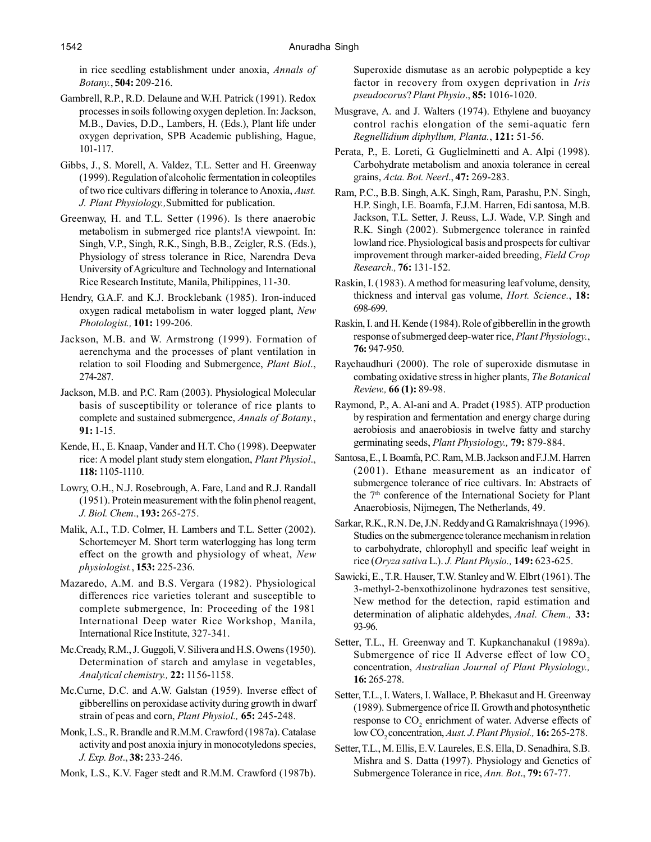in rice seedling establishment under anoxia, *Annals of Botany.*, **504:** 209-216.

- Gambrell, R.P., R.D. Delaune and W.H. Patrick (1991). Redox processes in soils following oxygen depletion. In: Jackson, M.B., Davies, D.D., Lambers, H. (Eds.), Plant life under oxygen deprivation, SPB Academic publishing, Hague, 101-117.
- Gibbs, J., S. Morell, A. Valdez, T.L. Setter and H. Greenway (1999). Regulation of alcoholic fermentation in coleoptiles of two rice cultivars differing in tolerance to Anoxia, *Aust. J. Plant Physiology.,*Submitted for publication.
- Greenway, H. and T.L. Setter (1996). Is there anaerobic metabolism in submerged rice plants!A viewpoint. In: Singh, V.P., Singh, R.K., Singh, B.B., Zeigler, R.S. (Eds.), Physiology of stress tolerance in Rice, Narendra Deva University of Agriculture and Technology and International Rice Research Institute, Manila, Philippines, 11-30.
- Hendry, G.A.F. and K.J. Brocklebank (1985). Iron-induced oxygen radical metabolism in water logged plant, *New Photologist.,* **101:** 199-206.
- Jackson, M.B. and W. Armstrong (1999). Formation of aerenchyma and the processes of plant ventilation in relation to soil Flooding and Submergence, *Plant Biol*., 274-287.
- Jackson, M.B. and P.C. Ram (2003). Physiological Molecular basis of susceptibility or tolerance of rice plants to complete and sustained submergence, *Annals of Botany.*, **91:** 1-15.
- Kende, H., E. Knaap, Vander and H.T. Cho (1998). Deepwater rice: A model plant study stem elongation, *Plant Physiol*., **118:** 1105-1110.
- Lowry, O.H., N.J. Rosebrough, A. Fare, Land and R.J. Randall (1951). Protein measurement with the folin phenol reagent, *J. Biol. Chem*., **193:** 265-275.
- Malik, A.I., T.D. Colmer, H. Lambers and T.L. Setter (2002). Schortemeyer M. Short term waterlogging has long term effect on the growth and physiology of wheat, *New physiologist.*, **153:** 225-236.
- Mazaredo, A.M. and B.S. Vergara (1982). Physiological differences rice varieties tolerant and susceptible to complete submergence, In: Proceeding of the 1981 International Deep water Rice Workshop, Manila, International Rice Institute, 327-341.
- Mc.Cready, R.M., J. Guggoli, V. Silivera and H.S. Owens (1950). Determination of starch and amylase in vegetables, *Analytical chemistry.,* **22:** 1156-1158.
- Mc.Curne, D.C. and A.W. Galstan (1959). Inverse effect of gibberellins on peroxidase activity during growth in dwarf strain of peas and corn, *Plant Physiol.,* **65:** 245-248.
- Monk, L.S., R. Brandle and R.M.M. Crawford (1987a). Catalase activity and post anoxia injury in monocotyledons species, *J. Exp. Bot*., **38:** 233-246.
- Monk, L.S., K.V. Fager stedt and R.M.M. Crawford (1987b).

Superoxide dismutase as an aerobic polypeptide a key factor in recovery from oxygen deprivation in *Iris pseudocorus*? *Plant Physio*., **85:** 1016-1020.

- Musgrave, A. and J. Walters (1974). Ethylene and buoyancy control rachis elongation of the semi-aquatic fern *Regnellidium diphyllum, Planta.*, **121:** 51-56.
- Perata, P., E. Loreti, G. Guglielminetti and A. Alpi (1998). Carbohydrate metabolism and anoxia tolerance in cereal grains, *Acta. Bot. Neerl*., **47:** 269-283.
- Ram, P.C., B.B. Singh, A.K. Singh, Ram, Parashu, P.N. Singh, H.P. Singh, I.E. Boamfa, F.J.M. Harren, Edi santosa, M.B. Jackson, T.L. Setter, J. Reuss, L.J. Wade, V.P. Singh and R.K. Singh (2002). Submergence tolerance in rainfed lowland rice. Physiological basis and prospects for cultivar improvement through marker-aided breeding, *Field Crop Research.,* **76:** 131-152.
- Raskin, I. (1983). A method for measuring leaf volume, density, thickness and interval gas volume, *Hort. Science.*, **18:** 698-699.
- Raskin, I. and H. Kende (1984). Role of gibberellin in the growth response of submerged deep-water rice, *Plant Physiology.*, **76:** 947-950.
- Raychaudhuri (2000). The role of superoxide dismutase in combating oxidative stress in higher plants, *The Botanical Review.,* **66 (1):** 89-98.
- Raymond, P., A. Al-ani and A. Pradet (1985). ATP production by respiration and fermentation and energy charge during aerobiosis and anaerobiosis in twelve fatty and starchy germinating seeds, *Plant Physiology.,* **79:** 879-884.
- Santosa, E., I. Boamfa, P.C. Ram, M.B. Jackson and F.J.M. Harren (2001). Ethane measurement as an indicator of submergence tolerance of rice cultivars. In: Abstracts of the 7<sup>th</sup> conference of the International Society for Plant Anaerobiosis, Nijmegen, The Netherlands, 49.
- Sarkar, R.K., R.N. De, J.N. Reddy and G. Ramakrishnaya (1996). Studies on the submergence tolerance mechanism in relation to carbohydrate, chlorophyll and specific leaf weight in rice (*Oryza sativa* L.). *J. Plant Physio.,* **149:** 623-625.
- Sawicki, E., T.R. Hauser, T.W. Stanley and W. Elbrt (1961). The 3-methyl-2-benxothizolinone hydrazones test sensitive, New method for the detection, rapid estimation and determination of aliphatic aldehydes, *Anal. Chem.,* **33:** 93-96.
- Setter, T.L., H. Greenway and T. Kupkanchanakul (1989a). Submergence of rice II Adverse effect of low CO<sub>2</sub> concentration, *Australian Journal of Plant Physiology.,* **16:** 265-278.
- Setter, T.L., I. Waters, I. Wallace, P. Bhekasut and H. Greenway (1989). Submergence of rice II. Growth and photosynthetic response to  $CO_2$  enrichment of water. Adverse effects of low CO<sub>2</sub> concentration, *Aust. J. Plant Physiol.*, **16:** 265-278.
- Setter, T.L., M. Ellis, E.V. Laureles, E.S. Ella, D. Senadhira, S.B. Mishra and S. Datta (1997). Physiology and Genetics of Submergence Tolerance in rice, *Ann. Bot*., **79:** 67-77.